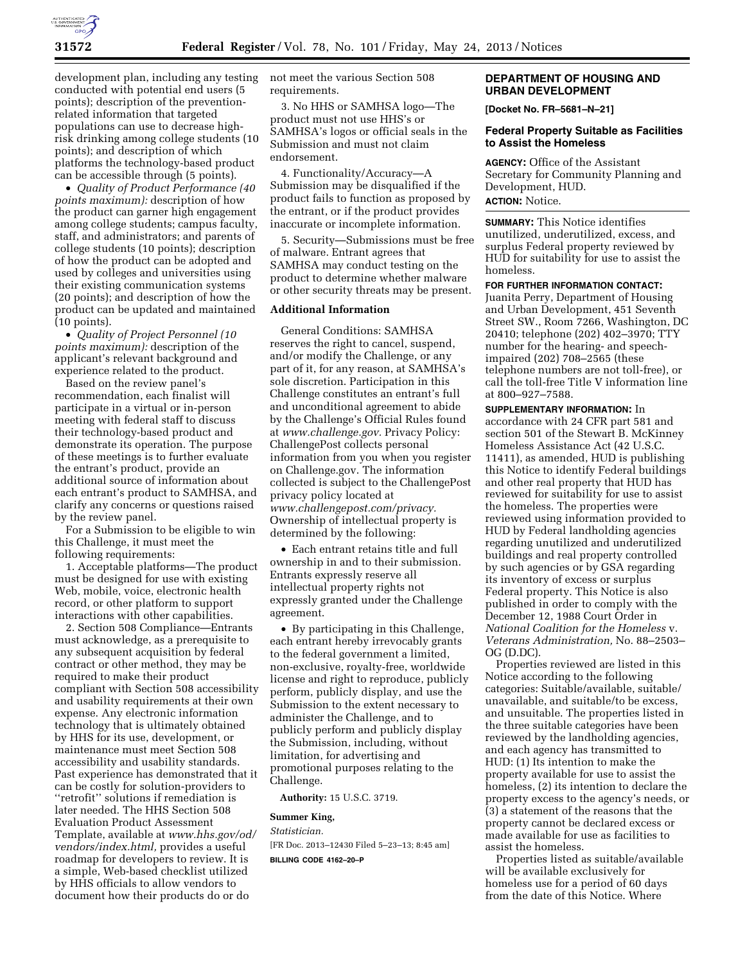

development plan, including any testing conducted with potential end users (5 points); description of the preventionrelated information that targeted populations can use to decrease highrisk drinking among college students (10 points); and description of which platforms the technology-based product can be accessible through (5 points).

• *Quality of Product Performance (40 points maximum):* description of how the product can garner high engagement among college students; campus faculty, staff, and administrators; and parents of college students (10 points); description of how the product can be adopted and used by colleges and universities using their existing communication systems (20 points); and description of how the product can be updated and maintained (10 points).

• *Quality of Project Personnel (10 points maximum):* description of the applicant's relevant background and experience related to the product.

Based on the review panel's recommendation, each finalist will participate in a virtual or in-person meeting with federal staff to discuss their technology-based product and demonstrate its operation. The purpose of these meetings is to further evaluate the entrant's product, provide an additional source of information about each entrant's product to SAMHSA, and clarify any concerns or questions raised by the review panel.

For a Submission to be eligible to win this Challenge, it must meet the following requirements:

1. Acceptable platforms—The product must be designed for use with existing Web, mobile, voice, electronic health record, or other platform to support interactions with other capabilities.

2. Section 508 Compliance—Entrants must acknowledge, as a prerequisite to any subsequent acquisition by federal contract or other method, they may be required to make their product compliant with Section 508 accessibility and usability requirements at their own expense. Any electronic information technology that is ultimately obtained by HHS for its use, development, or maintenance must meet Section 508 accessibility and usability standards. Past experience has demonstrated that it can be costly for solution-providers to ''retrofit'' solutions if remediation is later needed. The HHS Section 508 Evaluation Product Assessment Template, available at *[www.hhs.gov/od/](http://www.hhs.gov/od/vendors/index.html)  [vendors/index.html,](http://www.hhs.gov/od/vendors/index.html)* provides a useful roadmap for developers to review. It is a simple, Web-based checklist utilized by HHS officials to allow vendors to document how their products do or do

not meet the various Section 508 requirements.

3. No HHS or SAMHSA logo—The product must not use HHS's or SAMHSA's logos or official seals in the Submission and must not claim endorsement.

4. Functionality/Accuracy—A Submission may be disqualified if the product fails to function as proposed by the entrant, or if the product provides inaccurate or incomplete information.

5. Security—Submissions must be free of malware. Entrant agrees that SAMHSA may conduct testing on the product to determine whether malware or other security threats may be present.

### **Additional Information**

General Conditions: SAMHSA reserves the right to cancel, suspend, and/or modify the Challenge, or any part of it, for any reason, at SAMHSA's sole discretion. Participation in this Challenge constitutes an entrant's full and unconditional agreement to abide by the Challenge's Official Rules found at *[www.challenge.gov.](http://www.challenge.gov)* Privacy Policy: ChallengePost collects personal information from you when you register on Challenge.gov. The information collected is subject to the ChallengePost privacy policy located at *[www.challengepost.com/privacy.](http://www.challengepost.com/privacy)*  Ownership of intellectual property is determined by the following:

• Each entrant retains title and full ownership in and to their submission. Entrants expressly reserve all intellectual property rights not expressly granted under the Challenge agreement.

• By participating in this Challenge, each entrant hereby irrevocably grants to the federal government a limited, non-exclusive, royalty-free, worldwide license and right to reproduce, publicly perform, publicly display, and use the Submission to the extent necessary to administer the Challenge, and to publicly perform and publicly display the Submission, including, without limitation, for advertising and promotional purposes relating to the Challenge.

**Authority:** 15 U.S.C. 3719.

#### **Summer King,**

*Statistician.* 

[FR Doc. 2013–12430 Filed 5–23–13; 8:45 am] **BILLING CODE 4162–20–P** 

# **DEPARTMENT OF HOUSING AND URBAN DEVELOPMENT**

**[Docket No. FR–5681–N–21]** 

### **Federal Property Suitable as Facilities to Assist the Homeless**

**AGENCY:** Office of the Assistant Secretary for Community Planning and Development, HUD.

# **ACTION:** Notice.

**SUMMARY:** This Notice identifies unutilized, underutilized, excess, and surplus Federal property reviewed by HUD for suitability for use to assist the homeless.

**FOR FURTHER INFORMATION CONTACT:**  Juanita Perry, Department of Housing and Urban Development, 451 Seventh Street SW., Room 7266, Washington, DC 20410; telephone (202) 402–3970; TTY number for the hearing- and speechimpaired (202) 708–2565 (these telephone numbers are not toll-free), or call the toll-free Title V information line at 800–927–7588.

**SUPPLEMENTARY INFORMATION:** In accordance with 24 CFR part 581 and section 501 of the Stewart B. McKinney Homeless Assistance Act (42 U.S.C. 11411), as amended, HUD is publishing this Notice to identify Federal buildings and other real property that HUD has reviewed for suitability for use to assist the homeless. The properties were reviewed using information provided to HUD by Federal landholding agencies regarding unutilized and underutilized buildings and real property controlled by such agencies or by GSA regarding its inventory of excess or surplus Federal property. This Notice is also published in order to comply with the December 12, 1988 Court Order in *National Coalition for the Homeless* v. *Veterans Administration,* No. 88–2503– OG (D.DC).

Properties reviewed are listed in this Notice according to the following categories: Suitable/available, suitable/ unavailable, and suitable/to be excess, and unsuitable. The properties listed in the three suitable categories have been reviewed by the landholding agencies, and each agency has transmitted to HUD: (1) Its intention to make the property available for use to assist the homeless, (2) its intention to declare the property excess to the agency's needs, or (3) a statement of the reasons that the property cannot be declared excess or made available for use as facilities to assist the homeless.

Properties listed as suitable/available will be available exclusively for homeless use for a period of 60 days from the date of this Notice. Where